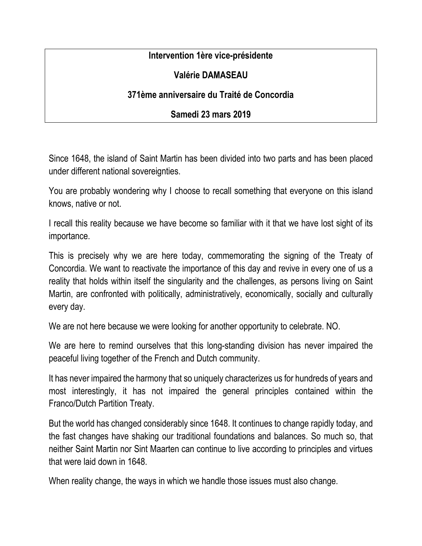## **Intervention 1ère vice-présidente**

## **Valérie DAMASEAU**

## **371ème anniversaire du Traité de Concordia**

## **Samedi 23 mars 2019**

Since 1648, the island of Saint Martin has been divided into two parts and has been placed under different national sovereignties.

You are probably wondering why I choose to recall something that everyone on this island knows, native or not.

I recall this reality because we have become so familiar with it that we have lost sight of its importance.

This is precisely why we are here today, commemorating the signing of the Treaty of Concordia. We want to reactivate the importance of this day and revive in every one of us a reality that holds within itself the singularity and the challenges, as persons living on Saint Martin, are confronted with politically, administratively, economically, socially and culturally every day.

We are not here because we were looking for another opportunity to celebrate. NO.

We are here to remind ourselves that this long-standing division has never impaired the peaceful living together of the French and Dutch community.

It has never impaired the harmony that so uniquely characterizes us for hundreds of years and most interestingly, it has not impaired the general principles contained within the Franco/Dutch Partition Treaty.

But the world has changed considerably since 1648. It continues to change rapidly today, and the fast changes have shaking our traditional foundations and balances. So much so, that neither Saint Martin nor Sint Maarten can continue to live according to principles and virtues that were laid down in 1648.

When reality change, the ways in which we handle those issues must also change.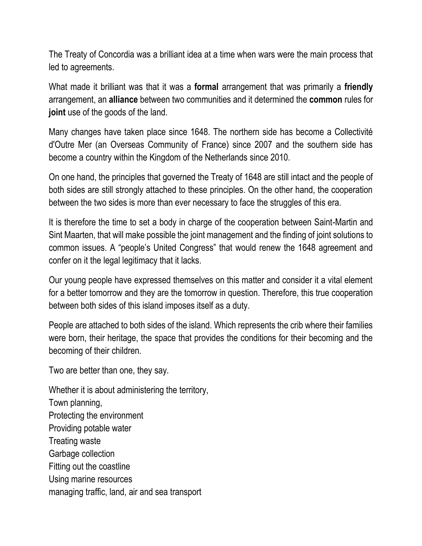The Treaty of Concordia was a brilliant idea at a time when wars were the main process that led to agreements.

What made it brilliant was that it was a **formal** arrangement that was primarily a **friendly** arrangement, an **alliance** between two communities and it determined the **common** rules for **joint** use of the goods of the land.

Many changes have taken place since 1648. The northern side has become a Collectivité d'Outre Mer (an Overseas Community of France) since 2007 and the southern side has become a country within the Kingdom of the Netherlands since 2010.

On one hand, the principles that governed the Treaty of 1648 are still intact and the people of both sides are still strongly attached to these principles. On the other hand, the cooperation between the two sides is more than ever necessary to face the struggles of this era.

It is therefore the time to set a body in charge of the cooperation between Saint-Martin and Sint Maarten, that will make possible the joint management and the finding of joint solutions to common issues. A "people's United Congress" that would renew the 1648 agreement and confer on it the legal legitimacy that it lacks.

Our young people have expressed themselves on this matter and consider it a vital element for a better tomorrow and they are the tomorrow in question. Therefore, this true cooperation between both sides of this island imposes itself as a duty.

People are attached to both sides of the island. Which represents the crib where their families were born, their heritage, the space that provides the conditions for their becoming and the becoming of their children.

Two are better than one, they say.

Whether it is about administering the territory, Town planning, Protecting the environment Providing potable water Treating waste Garbage collection Fitting out the coastline Using marine resources managing traffic, land, air and sea transport